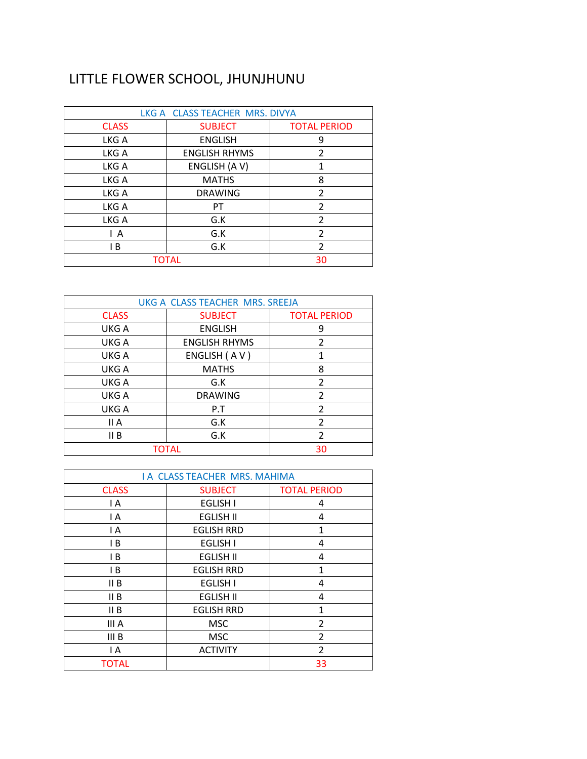## LITTLE FLOWER SCHOOL, JHUNJHUNU

| LKG A CLASS TEACHER MRS. DIVYA |                      |                     |
|--------------------------------|----------------------|---------------------|
| <b>CLASS</b>                   | <b>SUBJECT</b>       | <b>TOTAL PERIOD</b> |
| LKG A                          | <b>ENGLISH</b>       | 9                   |
| LKG A                          | <b>ENGLISH RHYMS</b> | 2                   |
| LKG A                          | ENGLISH (AV)         | 1                   |
| LKG A                          | <b>MATHS</b>         | 8                   |
| LKG A                          | <b>DRAWING</b>       | $\mathfrak{p}$      |
| LKG A                          | PT                   | $\overline{2}$      |
| LKG A                          | G.K                  | $\overline{2}$      |
| ΙA                             | G.K                  | 2                   |
| l B                            | G.K                  | $\overline{2}$      |
|                                | <b>TOTAL</b>         | 30                  |

| UKG A CLASS TEACHER MRS. SREEJA |                      |                     |
|---------------------------------|----------------------|---------------------|
| <b>CLASS</b>                    | <b>SUBJECT</b>       | <b>TOTAL PERIOD</b> |
| UKG A                           | <b>ENGLISH</b>       | 9                   |
| UKG A                           | <b>ENGLISH RHYMS</b> | $\overline{2}$      |
| UKG A                           | ENGLISH (AV)         | 1                   |
| UKG A                           | <b>MATHS</b>         | 8                   |
| UKG A                           | G.K                  | $\overline{2}$      |
| UKG A                           | <b>DRAWING</b>       | $\overline{2}$      |
| UKG A                           | P.T                  | $\mathfrak{p}$      |
| II A                            | G.K                  | 2                   |
| II B                            | G.K                  | 2                   |
|                                 | <b>TOTAL</b>         | 30                  |

| <b>I A CLASS TEACHER MRS. MAHIMA</b> |                   |                     |
|--------------------------------------|-------------------|---------------------|
| <b>CLASS</b>                         | <b>SUBJECT</b>    | <b>TOTAL PERIOD</b> |
| I A                                  | <b>EGLISH I</b>   | 4                   |
| I A                                  | <b>EGLISH II</b>  | 4                   |
| I A                                  | <b>EGLISH RRD</b> | 1                   |
| IB                                   | <b>EGLISH I</b>   | 4                   |
| IB                                   | <b>EGLISH II</b>  | 4                   |
| IB                                   | <b>EGLISH RRD</b> | 1                   |
| II B                                 | <b>EGLISH I</b>   | 4                   |
| II B                                 | <b>EGLISH II</b>  | 4                   |
| II B                                 | <b>EGLISH RRD</b> | $\mathbf{1}$        |
| III A                                | <b>MSC</b>        | $\overline{2}$      |
| III B                                | <b>MSC</b>        | $\overline{2}$      |
| I A                                  | <b>ACTIVITY</b>   | 2                   |
| <b>TOTAL</b>                         |                   | 33                  |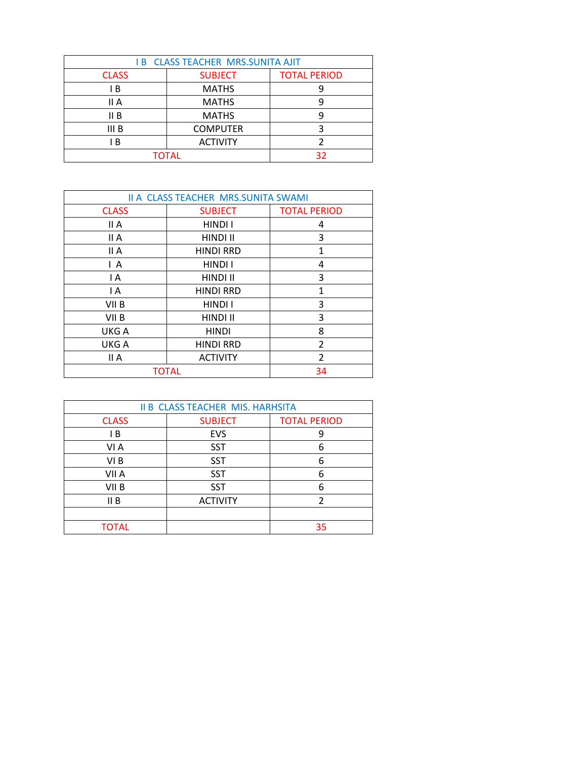| <b>IB CLASS TEACHER MRS.SUNITA AJIT</b> |                 |                     |
|-----------------------------------------|-----------------|---------------------|
| <b>CLASS</b>                            | <b>SUBJECT</b>  | <b>TOTAL PERIOD</b> |
| ΙB                                      | <b>MATHS</b>    |                     |
| II A                                    | <b>MATHS</b>    |                     |
| II B                                    | <b>MATHS</b>    |                     |
| III B                                   | <b>COMPUTER</b> |                     |
| B                                       | <b>ACTIVITY</b> |                     |
| <b>TOTAL</b>                            |                 | 32                  |

| <b>II A CLASS TEACHER MRS.SUNITA SWAMI</b> |                  |                     |
|--------------------------------------------|------------------|---------------------|
| <b>CLASS</b>                               | <b>SUBJECT</b>   | <b>TOTAL PERIOD</b> |
| II A                                       | HINDI I          | 4                   |
| II A                                       | HINDI II         | 3                   |
| II A                                       | <b>HINDI RRD</b> | $\mathbf{1}$        |
| ΙA                                         | HINDI I          | 4                   |
| I A                                        | HINDI II         | 3                   |
| I A                                        | <b>HINDI RRD</b> | 1                   |
| VII B                                      | HINDI I          | 3                   |
| VII B                                      | HINDI II         | 3                   |
| UKG A                                      | <b>HINDI</b>     | 8                   |
| UKG A                                      | <b>HINDI RRD</b> | $\overline{2}$      |
| II A                                       | <b>ACTIVITY</b>  | $\overline{2}$      |
|                                            | <b>TOTAL</b>     | 34                  |

| <b>II B CLASS TEACHER MIS. HARHSITA</b> |                 |                     |
|-----------------------------------------|-----------------|---------------------|
| <b>CLASS</b>                            | <b>SUBJECT</b>  | <b>TOTAL PERIOD</b> |
| ΙB                                      | <b>EVS</b>      | 9                   |
| VI A                                    | <b>SST</b>      | 6                   |
| VI B                                    | <b>SST</b>      | 6                   |
| VII A                                   | <b>SST</b>      | 6                   |
| VII B                                   | <b>SST</b>      | 6                   |
| II B                                    | <b>ACTIVITY</b> |                     |
|                                         |                 |                     |
| <b>TOTAL</b>                            |                 | 35                  |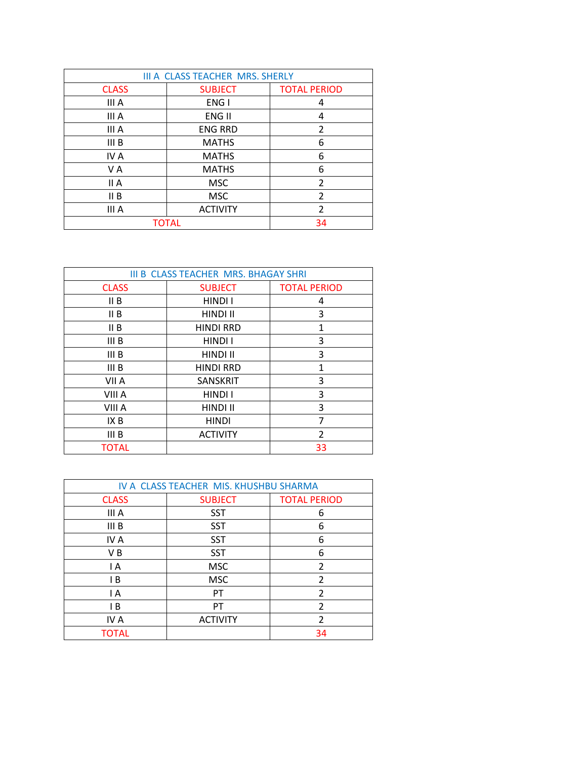| III A CLASS TEACHER MRS. SHERLY |                 |                     |
|---------------------------------|-----------------|---------------------|
| <b>CLASS</b>                    | <b>SUBJECT</b>  | <b>TOTAL PERIOD</b> |
| III A                           | ENG I           | 4                   |
| III A                           | ENG II          | 4                   |
| III A                           | <b>ENG RRD</b>  | $\overline{2}$      |
| III B                           | <b>MATHS</b>    | 6                   |
| IV A                            | <b>MATHS</b>    | 6                   |
| V A                             | <b>MATHS</b>    | 6                   |
| II A                            | <b>MSC</b>      | 2                   |
| II B                            | <b>MSC</b>      | $\overline{2}$      |
| III A                           | <b>ACTIVITY</b> | $\overline{2}$      |
|                                 | <b>TOTAL</b>    | 34                  |

| <b>III B CLASS TEACHER MRS. BHAGAY SHRI</b> |                  |                          |
|---------------------------------------------|------------------|--------------------------|
| <b>CLASS</b>                                | <b>SUBJECT</b>   | <b>TOTAL PERIOD</b>      |
| II B                                        | HINDI I          | 4                        |
| II B                                        | HINDI II         | 3                        |
| II B                                        | <b>HINDI RRD</b> | 1                        |
| III B                                       | HINDI I          | 3                        |
| III <sub>B</sub>                            | HINDI II         | 3                        |
| III B                                       | <b>HINDI RRD</b> | 1                        |
| VII A                                       | <b>SANSKRIT</b>  | 3                        |
| VIII A                                      | HINDI I          | 3                        |
| VIII A                                      | HINDI II         | 3                        |
| IX B                                        | <b>HINDI</b>     | 7                        |
| III B                                       | <b>ACTIVITY</b>  | $\overline{\mathcal{L}}$ |
| <b>TOTAL</b>                                |                  | 33                       |

| IV A CLASS TEACHER MIS. KHUSHBU SHARMA |                 |                     |
|----------------------------------------|-----------------|---------------------|
| <b>CLASS</b>                           | <b>SUBJECT</b>  | <b>TOTAL PERIOD</b> |
| III A                                  | <b>SST</b>      | 6                   |
| III B                                  | <b>SST</b>      | 6                   |
| IV A                                   | <b>SST</b>      | 6                   |
| V B                                    | <b>SST</b>      | 6                   |
| I A                                    | <b>MSC</b>      | 2                   |
| ΙB                                     | <b>MSC</b>      | 2                   |
| I A                                    | PT.             | 2                   |
| ΙB                                     | PT              | 2                   |
| IV A                                   | <b>ACTIVITY</b> | $\mathfrak{p}$      |
| TOTAL                                  |                 | 34                  |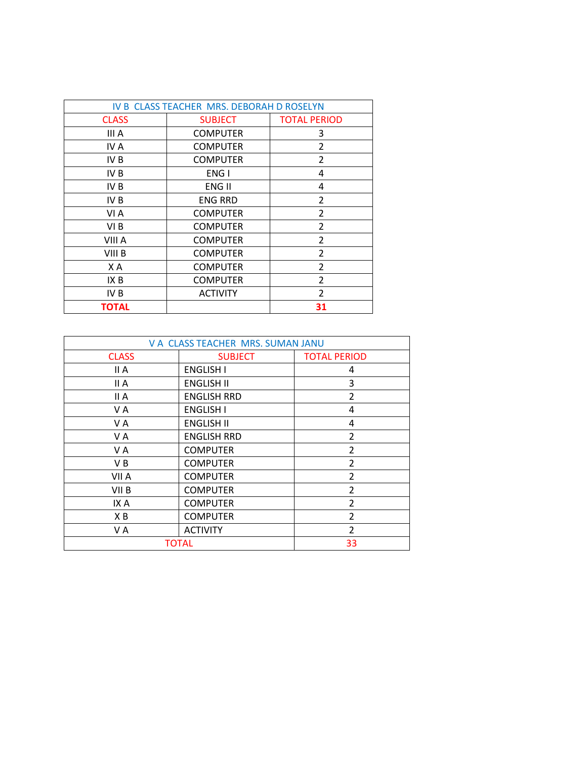| IV B CLASS TEACHER MRS. DEBORAH D ROSELYN |                 |                     |
|-------------------------------------------|-----------------|---------------------|
| <b>CLASS</b>                              | <b>SUBJECT</b>  | <b>TOTAL PERIOD</b> |
| III A                                     | <b>COMPUTER</b> | 3                   |
| IV A                                      | <b>COMPUTER</b> | 2                   |
| IV B                                      | <b>COMPUTER</b> | 2                   |
| IV <sub>B</sub>                           | ENG I           | 4                   |
| IV B                                      | ENG II          | 4                   |
| IV B                                      | <b>ENG RRD</b>  | 2                   |
| VI A                                      | <b>COMPUTER</b> | 2                   |
| VI B                                      | <b>COMPUTER</b> | $\overline{2}$      |
| VIII A                                    | <b>COMPUTER</b> | $\overline{2}$      |
| VIII B                                    | <b>COMPUTER</b> | 2                   |
| ΧA                                        | <b>COMPUTER</b> | $\overline{2}$      |
| IX B                                      | <b>COMPUTER</b> | 2                   |
| IV B                                      | <b>ACTIVITY</b> | 2                   |
| ΤΟΤΑL                                     |                 | 31                  |

| V A CLASS TEACHER MRS. SUMAN JANU |                    |                     |
|-----------------------------------|--------------------|---------------------|
| <b>CLASS</b>                      | <b>SUBJECT</b>     | <b>TOTAL PERIOD</b> |
| II A                              | <b>ENGLISH I</b>   | 4                   |
| II A                              | <b>ENGLISH II</b>  | 3                   |
| II A                              | <b>ENGLISH RRD</b> | 2                   |
| VA                                | <b>ENGLISH I</b>   | 4                   |
| VA                                | <b>ENGLISH II</b>  | 4                   |
| V A                               | <b>ENGLISH RRD</b> | 2                   |
| V A                               | <b>COMPUTER</b>    | $\overline{2}$      |
| V B                               | <b>COMPUTER</b>    | 2                   |
| VII A                             | <b>COMPUTER</b>    | $\overline{2}$      |
| VII <sub>B</sub>                  | <b>COMPUTER</b>    | $\overline{2}$      |
| IX A                              | <b>COMPUTER</b>    | $\overline{2}$      |
| ΧB                                | <b>COMPUTER</b>    | 2                   |
| VA                                | <b>ACTIVITY</b>    | 2                   |
|                                   | <b>TOTAL</b>       | 33                  |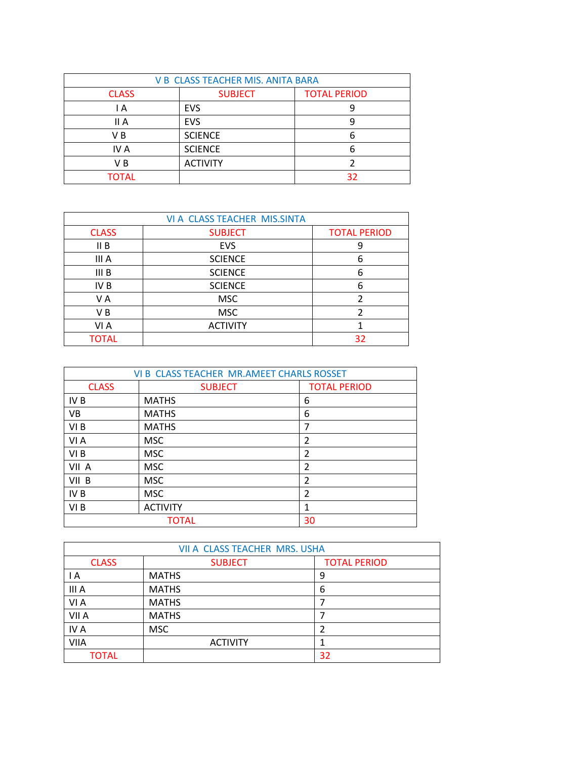| <b>V B CLASS TEACHER MIS. ANITA BARA</b> |                 |                     |
|------------------------------------------|-----------------|---------------------|
| <b>CLASS</b>                             | <b>SUBJECT</b>  | <b>TOTAL PERIOD</b> |
| ΙA                                       | <b>EVS</b>      |                     |
| II A                                     | <b>EVS</b>      |                     |
| V B                                      | <b>SCIENCE</b>  |                     |
| IV A                                     | <b>SCIENCE</b>  |                     |
| VВ                                       | <b>ACTIVITY</b> |                     |
| <b>TOTAL</b>                             |                 | 32                  |

| VI A CLASS TEACHER MIS.SINTA |                 |                     |
|------------------------------|-----------------|---------------------|
| <b>CLASS</b>                 | <b>SUBJECT</b>  | <b>TOTAL PERIOD</b> |
| II B                         | <b>EVS</b>      |                     |
| III A                        | <b>SCIENCE</b>  | 6                   |
| III B                        | <b>SCIENCE</b>  | 6                   |
| IV <sub>B</sub>              | <b>SCIENCE</b>  | 6                   |
| V A                          | <b>MSC</b>      |                     |
| V B                          | <b>MSC</b>      |                     |
| VI A                         | <b>ACTIVITY</b> |                     |
| <b>TOTAL</b>                 |                 | 32                  |

| VI B CLASS TEACHER MR.AMEET CHARLS ROSSET |                 |                     |
|-------------------------------------------|-----------------|---------------------|
| <b>CLASS</b>                              | <b>SUBJECT</b>  | <b>TOTAL PERIOD</b> |
| IV <sub>B</sub>                           | <b>MATHS</b>    | 6                   |
| <b>VB</b>                                 | <b>MATHS</b>    | 6                   |
| VI B                                      | <b>MATHS</b>    | 7                   |
| VI A                                      | <b>MSC</b>      | $\overline{2}$      |
| VI B                                      | <b>MSC</b>      | $\overline{2}$      |
| VII A                                     | <b>MSC</b>      | $\overline{2}$      |
| VII B                                     | <b>MSC</b>      | $\overline{2}$      |
| IV <sub>B</sub>                           | <b>MSC</b>      | $\mathfrak{p}$      |
| VI B                                      | <b>ACTIVITY</b> | 1                   |
|                                           | <b>TOTAL</b>    | 30                  |

| VII A CLASS TEACHER MRS. USHA |                 |                     |
|-------------------------------|-----------------|---------------------|
| <b>CLASS</b>                  | <b>SUBJECT</b>  | <b>TOTAL PERIOD</b> |
| ١A                            | <b>MATHS</b>    | 9                   |
| III A                         | <b>MATHS</b>    | 6                   |
| VI A                          | <b>MATHS</b>    |                     |
| VII A                         | <b>MATHS</b>    |                     |
| IV A                          | <b>MSC</b>      |                     |
| <b>VIIA</b>                   | <b>ACTIVITY</b> |                     |
| <b>TOTAL</b>                  |                 | 32                  |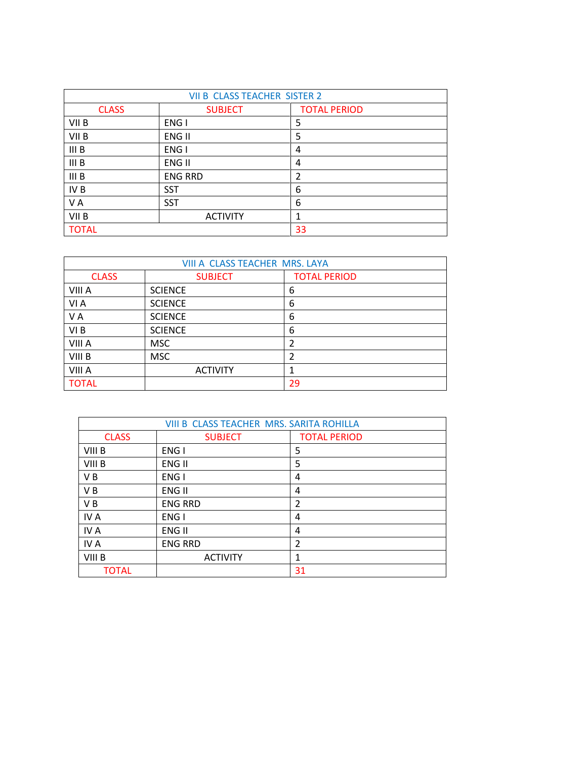| <b>VII B CLASS TEACHER SISTER 2</b> |                 |                     |
|-------------------------------------|-----------------|---------------------|
| <b>CLASS</b>                        | <b>SUBJECT</b>  | <b>TOTAL PERIOD</b> |
| VII B                               | ENG I           | 5                   |
| VII B                               | ENG II          | 5                   |
| III B                               | ENG I           | 4                   |
| III B                               | ENG II          | 4                   |
| III B                               | <b>ENG RRD</b>  | 2                   |
| IV B                                | <b>SST</b>      | 6                   |
| VA                                  | <b>SST</b>      | 6                   |
| VII B                               | <b>ACTIVITY</b> |                     |
| <b>TOTAL</b>                        |                 | 33                  |

| VIII A CLASS TEACHER MRS. LAYA |                 |                     |
|--------------------------------|-----------------|---------------------|
| <b>CLASS</b>                   | <b>SUBJECT</b>  | <b>TOTAL PERIOD</b> |
| VIII A                         | <b>SCIENCE</b>  | 6                   |
| VI A                           | <b>SCIENCE</b>  | 6                   |
| VA                             | <b>SCIENCE</b>  | 6                   |
| VI <sub>B</sub>                | <b>SCIENCE</b>  | 6                   |
| VIII A                         | <b>MSC</b>      | $\overline{2}$      |
| VIII B                         | <b>MSC</b>      | 2                   |
| VIII A                         | <b>ACTIVITY</b> | 1                   |
| <b>TOTAL</b>                   |                 | 29                  |

| VIII B CLASS TEACHER MRS. SARITA ROHILLA |                 |                     |
|------------------------------------------|-----------------|---------------------|
| <b>CLASS</b>                             | <b>SUBJECT</b>  | <b>TOTAL PERIOD</b> |
| VIII B                                   | ENG I           | 5                   |
| VIII B                                   | ENG II          | 5                   |
| V <sub>B</sub>                           | ENG I           | 4                   |
| V <sub>B</sub>                           | ENG II          | 4                   |
| V <sub>B</sub>                           | <b>ENG RRD</b>  | $\overline{2}$      |
| IV A                                     | ENG I           | 4                   |
| IV A                                     | ENG II          | 4                   |
| IV A                                     | <b>ENG RRD</b>  | $\overline{2}$      |
| VIII B                                   | <b>ACTIVITY</b> | 1                   |
| <b>TOTAL</b>                             |                 | 31                  |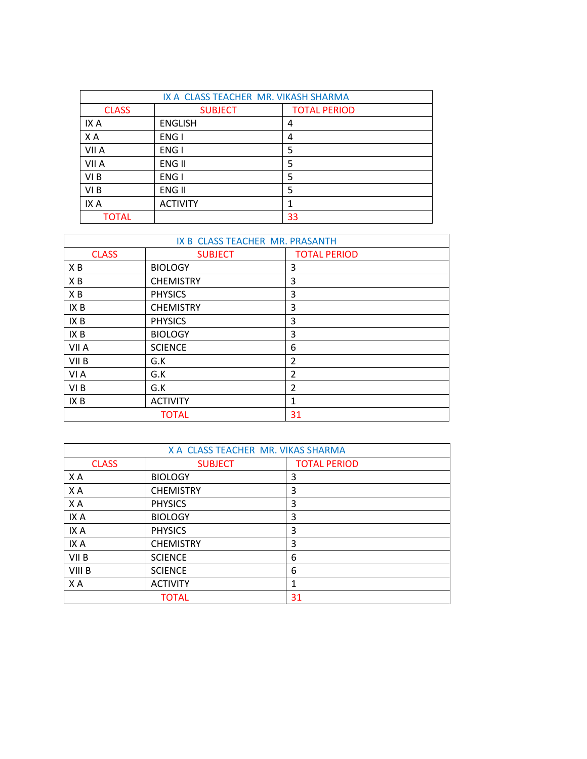| IX A CLASS TEACHER MR. VIKASH SHARMA |                 |                     |
|--------------------------------------|-----------------|---------------------|
| <b>CLASS</b>                         | <b>SUBJECT</b>  | <b>TOTAL PERIOD</b> |
| IX A                                 | <b>ENGLISH</b>  | 4                   |
| XA                                   | ENG I           | 4                   |
| VII A                                | ENG I           | 5                   |
| VII A                                | ENG II          | 5                   |
| VI B                                 | ENG I           | 5                   |
| VI <sub>B</sub>                      | ENG II          | 5                   |
| IX A                                 | <b>ACTIVITY</b> |                     |
| TOTAL                                |                 | 33                  |

| IX B CLASS TEACHER MR. PRASANTH |                  |                     |
|---------------------------------|------------------|---------------------|
| <b>CLASS</b>                    | <b>SUBJECT</b>   | <b>TOTAL PERIOD</b> |
| XB                              | <b>BIOLOGY</b>   | 3                   |
| XB                              | <b>CHEMISTRY</b> | 3                   |
| XB                              | <b>PHYSICS</b>   | 3                   |
| IX B                            | <b>CHEMISTRY</b> | 3                   |
| IX B                            | <b>PHYSICS</b>   | 3                   |
| IX B                            | <b>BIOLOGY</b>   | 3                   |
| VII A                           | <b>SCIENCE</b>   | 6                   |
| VII <sub>B</sub>                | G.K              | $\overline{2}$      |
| VI A                            | G.K              | $\overline{2}$      |
| VI <sub>B</sub>                 | G.K              | $\overline{2}$      |
| IX B                            | <b>ACTIVITY</b>  | $\mathbf{1}$        |
| 31<br><b>TOTAL</b>              |                  |                     |

| X A CLASS TEACHER MR. VIKAS SHARMA |                  |                     |
|------------------------------------|------------------|---------------------|
| <b>CLASS</b>                       | <b>SUBJECT</b>   | <b>TOTAL PERIOD</b> |
| X A                                | <b>BIOLOGY</b>   | 3                   |
| XA                                 | <b>CHEMISTRY</b> | 3                   |
| X A                                | <b>PHYSICS</b>   | 3                   |
| IX A                               | <b>BIOLOGY</b>   | 3                   |
| IX A                               | <b>PHYSICS</b>   | 3                   |
| IX A                               | <b>CHEMISTRY</b> | 3                   |
| VII B                              | <b>SCIENCE</b>   | 6                   |
| VIII B                             | <b>SCIENCE</b>   | 6                   |
| ΧA                                 | <b>ACTIVITY</b>  | 1                   |
|                                    | <b>TOTAL</b>     | 31                  |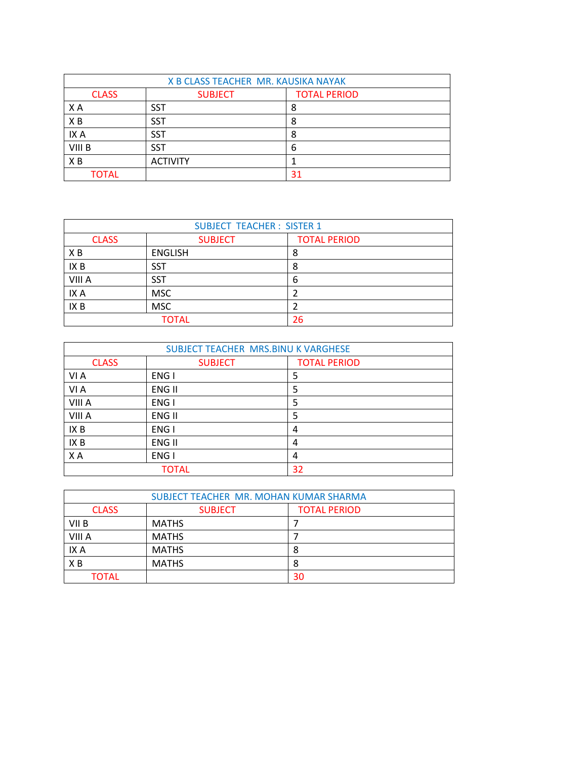| X B CLASS TEACHER MR. KAUSIKA NAYAK |                 |                     |
|-------------------------------------|-----------------|---------------------|
| <b>CLASS</b>                        | <b>SUBJECT</b>  | <b>TOTAL PERIOD</b> |
| X A                                 | <b>SST</b>      | 8                   |
| XB                                  | <b>SST</b>      | 8                   |
| IX A                                | <b>SST</b>      | 8                   |
| VIII B                              | <b>SST</b>      | 6                   |
| X <sub>B</sub>                      | <b>ACTIVITY</b> |                     |
| <b>TOTAL</b>                        |                 | 31                  |

| <b>SUBJECT TEACHER: SISTER 1</b> |                |                     |  |
|----------------------------------|----------------|---------------------|--|
| <b>CLASS</b>                     | <b>SUBJECT</b> | <b>TOTAL PERIOD</b> |  |
| XB                               | <b>ENGLISH</b> | 8                   |  |
| IX B                             | SST            | 8                   |  |
| VIII A                           | <b>SST</b>     | 6                   |  |
| IX A                             | <b>MSC</b>     |                     |  |
| IX <sub>B</sub>                  | <b>MSC</b>     | 2                   |  |
| <b>TOTAL</b><br>26               |                |                     |  |

| SUBJECT TEACHER MRS.BINU K VARGHESE |                |                     |
|-------------------------------------|----------------|---------------------|
| <b>CLASS</b>                        | <b>SUBJECT</b> | <b>TOTAL PERIOD</b> |
| VI A                                | ENG I          | 5                   |
| VI A                                | ENG II         | 5                   |
| VIII A                              | ENG I          | 5                   |
| VIII A                              | ENG II         | 5                   |
| IX B                                | ENG I          | 4                   |
| IX B                                | ENG II         | 4                   |
| X A                                 | ENG I          | 4                   |
| <b>TOTAL</b>                        |                | 32                  |

| SUBJECT TEACHER MR. MOHAN KUMAR SHARMA |                                       |    |  |  |
|----------------------------------------|---------------------------------------|----|--|--|
| <b>CLASS</b>                           | <b>TOTAL PERIOD</b><br><b>SUBJECT</b> |    |  |  |
| VII B                                  | <b>MATHS</b>                          |    |  |  |
| VIII A                                 | <b>MATHS</b>                          |    |  |  |
| IX A                                   | <b>MATHS</b>                          | 8  |  |  |
| X <sub>B</sub>                         | <b>MATHS</b>                          | 8  |  |  |
| TOTAL                                  |                                       | 30 |  |  |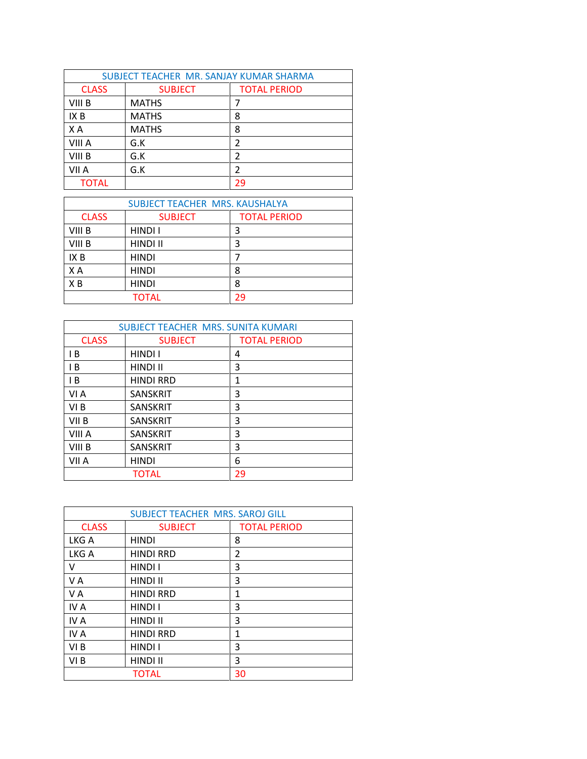| SUBJECT TEACHER MR. SANJAY KUMAR SHARMA |                |                     |  |
|-----------------------------------------|----------------|---------------------|--|
| <b>CLASS</b>                            | <b>SUBJECT</b> | <b>TOTAL PERIOD</b> |  |
| VIII B                                  | <b>MATHS</b>   |                     |  |
| IX B                                    | <b>MATHS</b>   | 8                   |  |
| X A                                     | <b>MATHS</b>   | 8                   |  |
| VIII A                                  | G.K            | $\mathcal{P}$       |  |
| VIII B                                  | G.K            | 2                   |  |
| VII A                                   | G.K            | $\mathcal{P}$       |  |
| <b>TOTAL</b>                            |                | 29                  |  |

| SUBJECT TEACHER MRS. KAUSHALYA |                |                     |  |
|--------------------------------|----------------|---------------------|--|
| <b>CLASS</b>                   | <b>SUBJECT</b> | <b>TOTAL PERIOD</b> |  |
| VIII B                         | HINDI I        | 3                   |  |
| VIII B                         | HINDI II       | 3                   |  |
| IX B                           | <b>HINDI</b>   |                     |  |
| X A                            | <b>HINDI</b>   | 8                   |  |
| X <sub>B</sub>                 | <b>HINDI</b>   | 8                   |  |
| <b>TOTAL</b>                   |                | 29                  |  |

| <b>SUBJECT TEACHER MRS. SUNITA KUMARI</b> |                  |                     |  |
|-------------------------------------------|------------------|---------------------|--|
| <b>CLASS</b>                              | <b>SUBJECT</b>   | <b>TOTAL PERIOD</b> |  |
| l B                                       | HINDI I          | 4                   |  |
| I B                                       | <b>HINDI II</b>  | 3                   |  |
| l B                                       | <b>HINDI RRD</b> | 1                   |  |
| VI A                                      | <b>SANSKRIT</b>  | 3                   |  |
| VI B                                      | <b>SANSKRIT</b>  | 3                   |  |
| VII B                                     | <b>SANSKRIT</b>  | 3                   |  |
| VIII A                                    | <b>SANSKRIT</b>  | 3                   |  |
| VIII B                                    | <b>SANSKRIT</b>  | 3                   |  |
| VII A                                     | <b>HINDI</b>     | 6                   |  |
| 29<br>TOTAL                               |                  |                     |  |

| <b>SUBJECT TEACHER MRS. SAROJ GILL</b> |                  |                     |  |
|----------------------------------------|------------------|---------------------|--|
| <b>CLASS</b>                           | <b>SUBJECT</b>   | <b>TOTAL PERIOD</b> |  |
| LKG A                                  | <b>HINDI</b>     | 8                   |  |
| LKG A                                  | <b>HINDI RRD</b> | 2                   |  |
| v                                      | HINDI I          | 3                   |  |
| V A                                    | HINDI II         | 3                   |  |
| V A                                    | <b>HINDI RRD</b> | 1                   |  |
| IV A                                   | <b>HINDI I</b>   | 3                   |  |
| IV A                                   | HINDI II         | 3                   |  |
| IV A                                   | <b>HINDI RRD</b> | 1                   |  |
| VI B                                   | <b>HINDI I</b>   | 3                   |  |
| VI B                                   | HINDI II         | 3                   |  |
| 30<br><b>TOTAL</b>                     |                  |                     |  |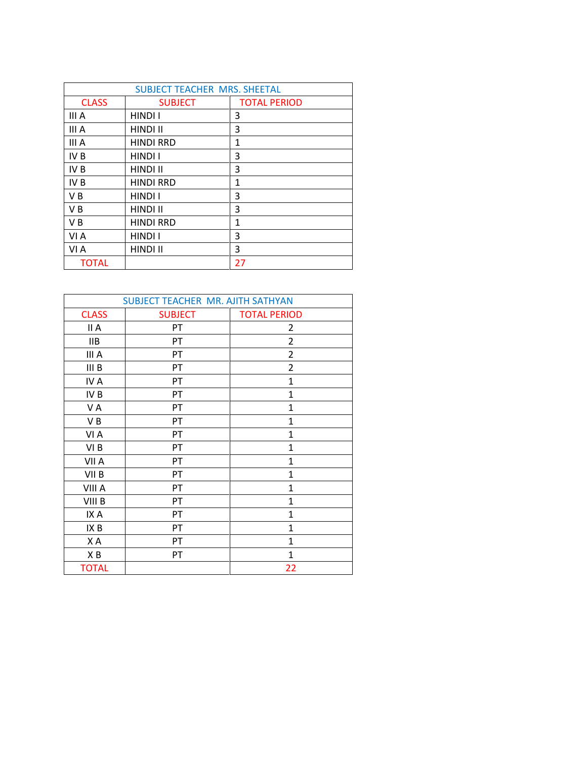| <b>SUBJECT TEACHER MRS. SHEETAL</b> |                  |                     |  |
|-------------------------------------|------------------|---------------------|--|
| <b>CLASS</b>                        | <b>SUBJECT</b>   | <b>TOTAL PERIOD</b> |  |
| III A                               | <b>HINDI I</b>   | 3                   |  |
| III A                               | <b>HINDI II</b>  | 3                   |  |
| III A                               | <b>HINDI RRD</b> | $\mathbf{1}$        |  |
| IV <sub>B</sub>                     | HINDI I          | 3                   |  |
| IV <sub>B</sub>                     | <b>HINDI II</b>  | 3                   |  |
| IV <sub>B</sub>                     | <b>HINDI RRD</b> | $\mathbf{1}$        |  |
| V <sub>B</sub>                      | <b>HINDI I</b>   | 3                   |  |
| V <sub>B</sub>                      | HINDI II         | 3                   |  |
| V <sub>B</sub>                      | <b>HINDI RRD</b> | 1                   |  |
| VI A                                | HINDI I          | 3                   |  |
| VI A                                | HINDI II         | 3                   |  |
| <b>TOTAL</b>                        |                  | 27                  |  |

| SUBJECT TEACHER MR. AJITH SATHYAN |                |                     |  |
|-----------------------------------|----------------|---------------------|--|
| <b>CLASS</b>                      | <b>SUBJECT</b> | <b>TOTAL PERIOD</b> |  |
| II A                              | PT             | 2                   |  |
| <b>IIB</b>                        | PT             | $\overline{2}$      |  |
| III A                             | PT             | $\overline{2}$      |  |
| III B                             | PT             | $\overline{2}$      |  |
| IV A                              | PT             | 1                   |  |
| IV B                              | PT             | $\overline{1}$      |  |
| V A                               | PT             | $\mathbf 1$         |  |
| VB                                | PT             | $\mathbf{1}$        |  |
| VI A                              | PT             | 1                   |  |
| VI <sub>B</sub>                   | PT             | $\mathbf{1}$        |  |
| VII A                             | PT             | $\mathbf{1}$        |  |
| VII <sub>B</sub>                  | PT             | $\mathbf{1}$        |  |
| VIII A                            | PT             | $\mathbf{1}$        |  |
| VIII B                            | PT             | $\overline{1}$      |  |
| IX A                              | PT             | $\mathbf{1}$        |  |
| IX B                              | PT             | $\mathbf{1}$        |  |
| XA                                | PT             | 1                   |  |
| XB                                | PT             | $\mathbf{1}$        |  |
| <b>TOTAL</b>                      |                | 22                  |  |